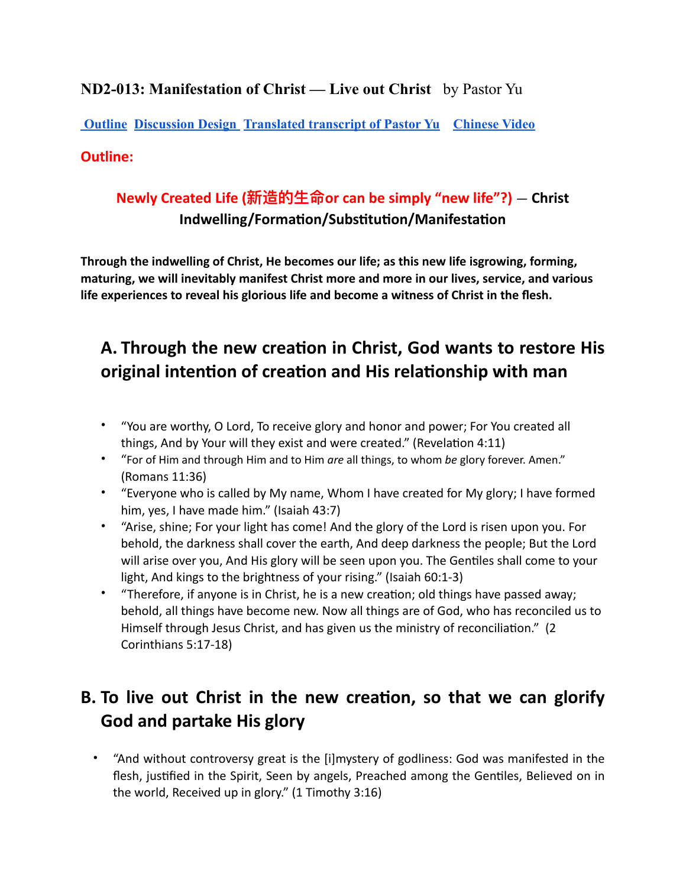## **ND2-013: Manifestation of Christ — Live out Christ** by Pastor Yu

**[Outline](https://docs.google.com/document/d/1cJ9t8UzAE5_pGjIDt1MiezNg0RDEdtCdib1vwj52k8M/edit#bookmark=kix.oohivaarfw5) [Discussion Design](https://docs.google.com/document/d/1cJ9t8UzAE5_pGjIDt1MiezNg0RDEdtCdib1vwj52k8M/edit#bookmark=kix.d41mtn6yemlm) [Translated transcript of Pastor Yu](https://docs.google.com/document/d/1cJ9t8UzAE5_pGjIDt1MiezNg0RDEdtCdib1vwj52k8M/edit#bookmark=kix.bptcrn7u5k0i) [Chinese Video](https://www.youtube.com/watch?v=eFpGeLodf_I)**

#### **Outline:**

## **Newly Created Life (新造的⽣命or can be simply "new life"?)** *—* **Christ Indwelling/Formation/Substitution/Manifestation**

**Through the indwelling of Christ, He becomes our life; as this new life isgrowing, forming, maturing, we will inevitably manifest Christ more and more in our lives, service, and various life experiences to reveal his glorious life and become a witness of Christ in the flesh.**

# **A. Through the new creation in Christ, God wants to restore His original intention of creation and His relationship with man**

- "You are worthy, O Lord, To receive glory and honor and power; For You created all things, And by Your will they exist and were created." (Revelation 4:11)
- "For of Him and through Him and to Him *are* all things, to whom *be* glory forever. Amen." (Romans 11:36)
- "Everyone who is called by My name, Whom I have created for My glory; I have formed him, yes, I have made him." (Isaiah 43:7)
- "Arise, shine; For your light has come! And the glory of the Lord is risen upon you. For behold, the darkness shall cover the earth, And deep darkness the people; But the Lord will arise over you, And His glory will be seen upon you. The Gentiles shall come to your light, And kings to the brightness of your rising." (Isaiah 60:1-3)
- "Therefore, if anyone is in Christ, he is a new creation; old things have passed away; behold, all things have become new. Now all things are of God, who has reconciled us to Himself through Jesus Christ, and has given us the ministry of reconciliation." (2 Corinthians 5:17-18)

## **B. To live out Christ in the new creation, so that we can glorify God and partake His glory**

• "And without controversy great is the [i]mystery of godliness: God was manifested in the flesh, justified in the Spirit, Seen by angels, Preached among the Gentiles, Believed on in the world, Received up in glory." (1 Timothy 3:16)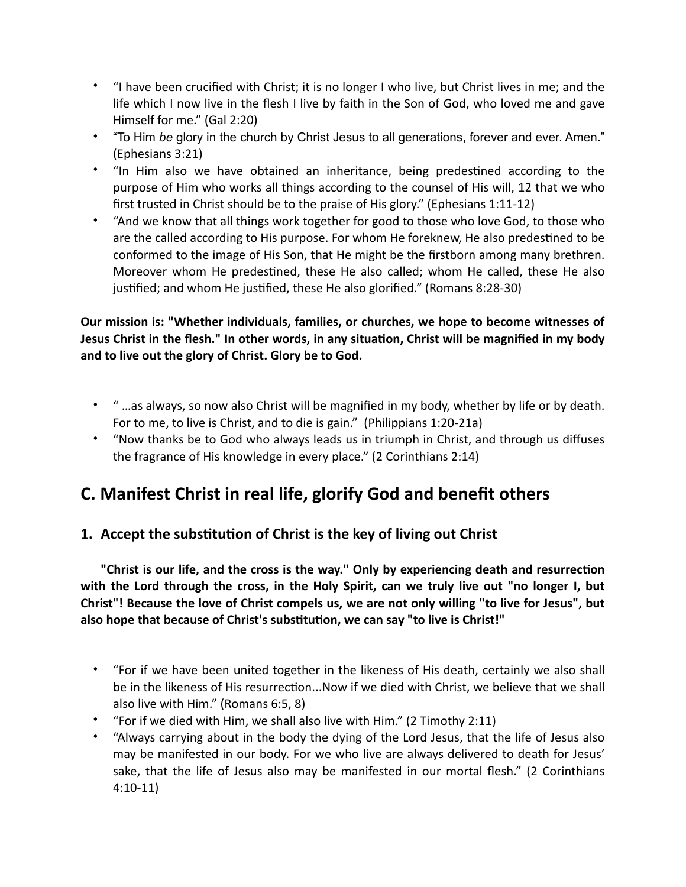- "I have been crucified with Christ; it is no longer I who live, but Christ lives in me; and the life which I now live in the flesh I live by faith in the Son of God, who loved me and gave Himself for me." (Gal 2:20)
- "To Him *be* glory in the church by Christ Jesus to all generations, forever and ever. Amen." (Ephesians 3:21)
- "In Him also we have obtained an inheritance, being predestined according to the purpose of Him who works all things according to the counsel of His will, 12 that we who first trusted in Christ should be to the praise of His glory." (Ephesians 1:11-12)
- "And we know that all things work together for good to those who love God, to those who are the called according to His purpose. For whom He foreknew, He also predestined to be conformed to the image of His Son, that He might be the firstborn among many brethren. Moreover whom He predestined, these He also called; whom He called, these He also justified; and whom He justified, these He also glorified." (Romans 8:28-30)

#### **Our mission is: "Whether individuals, families, or churches, we hope to become witnesses of Jesus Christ in the flesh." In other words, in any situation, Christ will be magnified in my body and to live out the glory of Christ. Glory be to God.**

- " …as always, so now also Christ will be magnified in my body, whether by life or by death. For to me, to live is Christ, and to die is gain." (Philippians 1:20-21a)
- "Now thanks be to God who always leads us in triumph in Christ, and through us diffuses the fragrance of His knowledge in every place." (2 Corinthians 2:14)

# **C. Manifest Christ in real life, glorify God and benefit others**

## **1. Accept the substitution of Christ is the key of living out Christ**

**"Christ is our life, and the cross is the way." Only by experiencing death and resurrection with the Lord through the cross, in the Holy Spirit, can we truly live out "no longer I, but Christ"! Because the love of Christ compels us, we are not only willing "to live for Jesus", but also hope that because of Christ's substitution, we can say "to live is Christ!"**

- "For if we have been united together in the likeness of His death, certainly we also shall be in the likeness of His resurrection...Now if we died with Christ, we believe that we shall also live with Him." (Romans 6:5, 8)
- "For if we died with Him, we shall also live with Him." (2 Timothy 2:11)
- "Always carrying about in the body the dying of the Lord Jesus, that the life of Jesus also may be manifested in our body. For we who live are always delivered to death for Jesus' sake, that the life of Jesus also may be manifested in our mortal flesh." (2 Corinthians 4:10-11)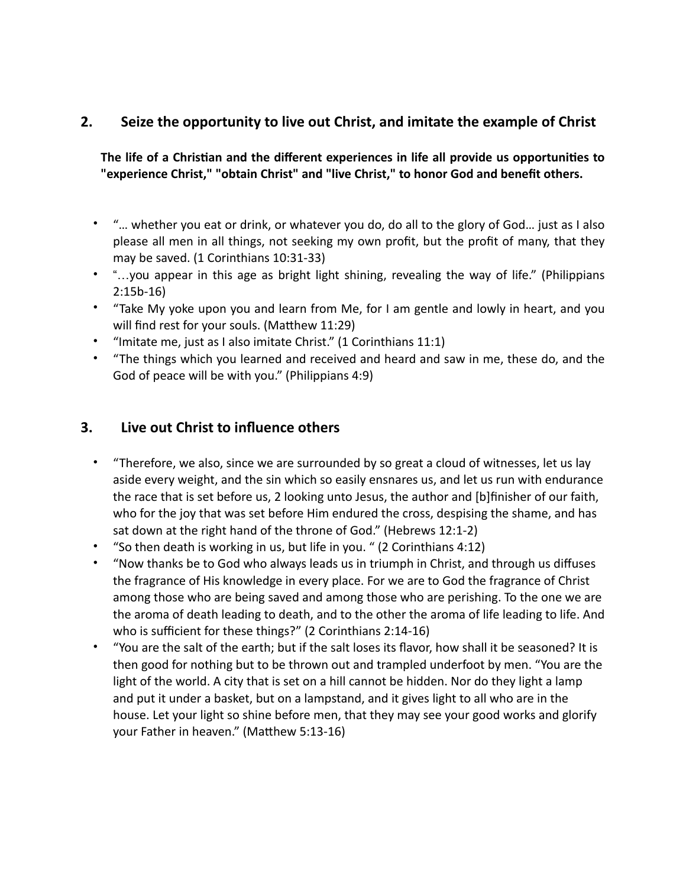#### **2. Seize the opportunity to live out Christ, and imitate the example of Christ**

**The life of a Christian and the different experiences in life all provide us opportunities to "experience Christ," "obtain Christ" and "live Christ," to honor God and benefit others.**

- "… whether you eat or drink, or whatever you do, do all to the glory of God… just as I also please all men in all things, not seeking my own profit, but the profit of many, that they may be saved. (1 Corinthians 10:31-33)
- "…you appear in this age as bright light shining, revealing the way of life." (Philippians 2:15b-16)
- "Take My yoke upon you and learn from Me, for I am gentle and lowly in heart, and you will find rest for your souls. (Matthew 11:29)
- "Imitate me, just as I also imitate Christ." (1 Corinthians 11:1)
- "The things which you learned and received and heard and saw in me, these do, and the God of peace will be with you." (Philippians 4:9)

#### **3. Live out Christ to influence others**

- "Therefore, we also, since we are surrounded by so great a cloud of witnesses, let us lay aside every weight, and the sin which so easily ensnares us, and let us run with endurance the race that is set before us, 2 looking unto Jesus, the author and [b]finisher of our faith, who for the joy that was set before Him endured the cross, despising the shame, and has sat down at the right hand of the throne of God." (Hebrews 12:1-2)
- "So then death is working in us, but life in you. " (2 Corinthians 4:12)
- "Now thanks be to God who always leads us in triumph in Christ, and through us diffuses the fragrance of His knowledge in every place. For we are to God the fragrance of Christ among those who are being saved and among those who are perishing. To the one we are the aroma of death leading to death, and to the other the aroma of life leading to life. And who is sufficient for these things?" (2 Corinthians 2:14-16)
- "You are the salt of the earth; but if the salt loses its flavor, how shall it be seasoned? It is then good for nothing but to be thrown out and trampled underfoot by men. "You are the light of the world. A city that is set on a hill cannot be hidden. Nor do they light a lamp and put it under a basket, but on a lampstand, and it gives light to all who are in the house. Let your light so shine before men, that they may see your good works and glorify your Father in heaven." (Matthew 5:13-16)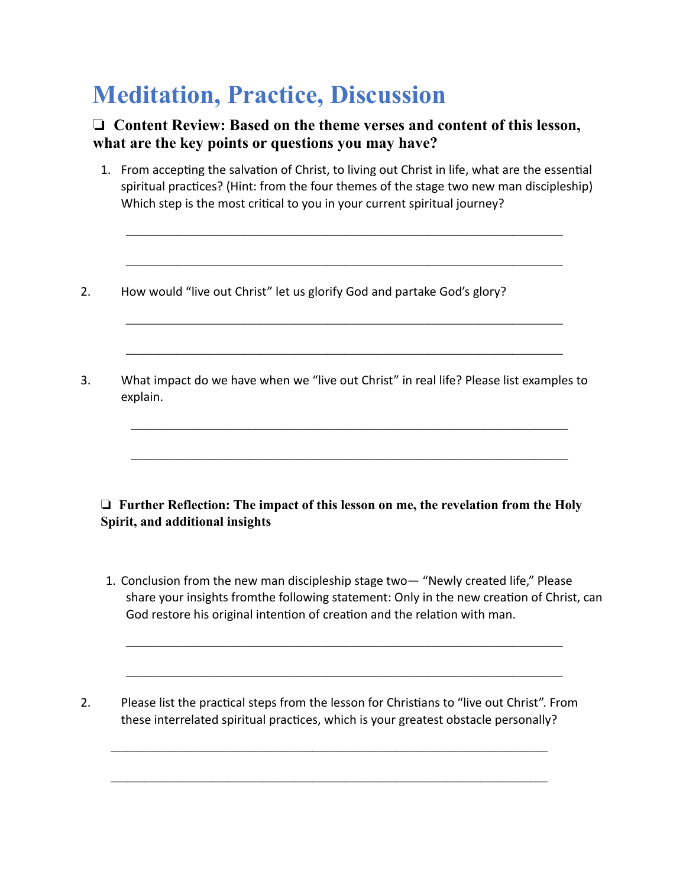# **Meditation, Practice, Discussion**

#### ❏ **Content Review: Based on the theme verses and content of this lesson, what are the key points or questions you may have?**

1. From accepting the salvation of Christ, to living out Christ in life, what are the essential spiritual practices? (Hint: from the four themes of the stage two new man discipleship) Which step is the most critical to you in your current spiritual journey?

——————————————————————————

——————————————————————————

——————————————————————————

——————————————————————————

——————————————————————————

——————————————————————————

- 2. How would "live out Christ" let us glorify God and partake God's glory?
- 3. What impact do we have when we "live out Christ" in real life? Please list examples to explain.

#### ❏ **Further Reflection: The impact of this lesson on me, the revelation from the Holy Spirit, and additional insights**

1. Conclusion from the new man discipleship stage two— "Newly created life," Please share your insights fromthe following statement: Only in the new creation of Christ, can God restore his original intention of creation and the relation with man.

——————————————————————————

——————————————————————————

2. Please list the practical steps from the lesson for Christians to "live out Christ". From these interrelated spiritual practices, which is your greatest obstacle personally?

——————————————————————————

——————————————————————————